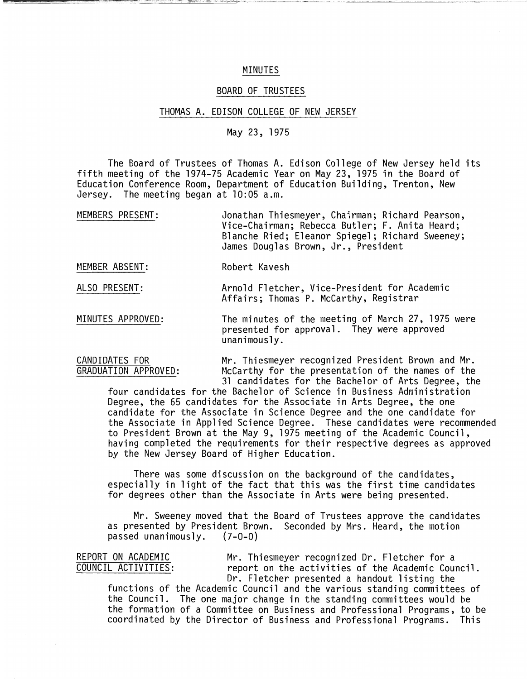## MINUTES

### BOARD OF TRUSTEES

#### THOMAS A. EDISON COLLEGE OF NEW JERSEY

# May 23, 1975

The Board of Trustees of Thomas A. Edison College of New Jersey held its fifth meeting of the 1974-75 Academic Year on May 23, 1975 in the Board of Education Conference Room, Department of Education Building, Trenton, New Jersey. The meeting began at 10:05 a.m.

| MEMBERS PRESENT: | Jonathan Thiesmeyer, Chairman; Richard Pearson, |
|------------------|-------------------------------------------------|
|                  | Vice-Chairman; Rebecca Butler; F. Anita Heard;  |
|                  | Blanche Ried; Eleanor Spiegel; Richard Sweeney; |
|                  | James Douglas Brown, Jr., President             |

MEMBER ABSENT: Robert Kavesh

ALSO PRESENT: Arnold Fletcher, Vice-President for Academic Affairs; Thomas P. McCarthy, Registrar

MINUTES APPROVED: The minutes of the meeting of March 27, 1975 were presented for approval. They were approved unanimously.

CANDIDATES FOR Mr. Thiesmeyer recognized President Brown and Mr.<br>GRADUATION APPROVED: McCarthy for the presentation of the names of the McCarthy for the presentation of the names of the 31 candidates for the Bachelor of Arts Degree, the

four candidates for the Bachelor of Science in Business Administration Degree, the 65 candidates for the Associate in Arts Degree, the one candidate for the Associate in Science Degree and the one candidate for the Associate in Applied Science Degree. These candidates were recommended to President Brown at the May 9, 1975 meeting of the Academic Council, having completed the requirements for their respective degrees as approved by the New Jersey Board of Higher Education.

There was some discussion on the background of the candidates, especially in light of the fact that this was the first time candidates for degrees other than the Associate in Arts were being presented.

Mr. Sweeney moved that the Board of Trustees approve the candidates as presented by President Brown. Seconded by Mrs. Heard, the motion passed unanimously.  $(7-0-0)$ passed unanimously.

REPORT ON ACADEMIC Mr. Thiesmeyer recognized Dr. Fletcher for a<br>COUNCIL ACTIVITIES: The report on the activities of the Academic Cou report on the activities of the Academic Council. Dr. Fletcher presented a handout listing the

functions of the Academic Council and the various standing committees of the Council. The one major change in the standing committees would be the formation of a Committee on Business and Professional Programs, to be coordinated by the Director of Business and Professional Programs. This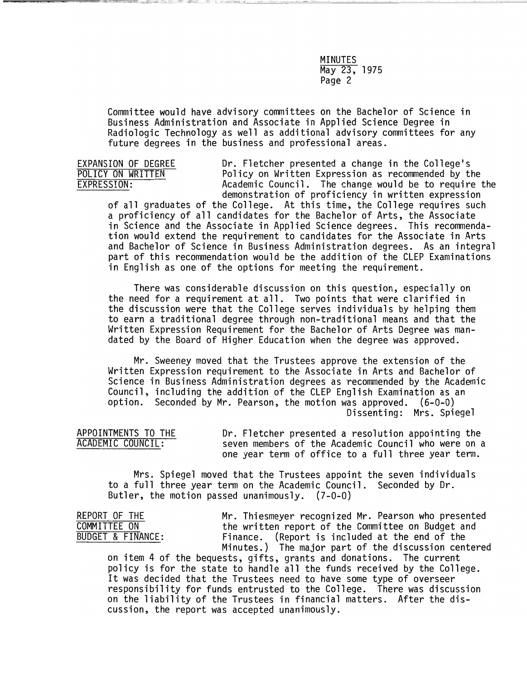MINUTES May 23, 1975 Page 2

Committee would have advisory committees on the Bachelor of Science in Business Administration and Associate in Applied Science Degree in Radiologic Technology as well as additional advisory committees for any future degrees in the business and professional areas.

EXPANSION OF DEGREE The Dr. Fletcher presented a change in the College's<br>
POLICY ON WRITTEN Policy on Written Expression as recommended by the POLICY ON WRITTEN TOLICY ON WRITTEN Policy on Written Expression as recommended by the<br>EXPRESSION: The change would be to require Academic Council. The change would be to require the demonstration of proficiency in written expression

of all graduates of the College. At this time, the College requires such a proficiency of all candidates for the Bachelor of Arts, the Associate in Science and the Associate in Applied Science degrees. This recommendation would extend the requirement to candidates for the Associate in Arts and Bachelor of Science in Business Administration degrees. As an integral part of this recommendation would be the addition of the CLEP Examinations in English as one of the options for meeting the requirement.

There was considerable discussion on this question, especially on the need for a requirement at all. Two points that were clarified in the discussion were that the College serves individuals by helping them to earn a traditional degree through non-traditional means and that the Written Expression Requirement for the Bachelor of Arts Degree was mandated by the Board of Higher Education when the degree was approved.

Mr. Sweeney moved that the Trustees approve the extension of the Written Expression requirement to the Associate in Arts and Bachelor of Science in Business Administration degrees as 'recommended by the Academic Council, including the addition of the CLEP English Examination as an option. Seconded by Mr. Pearson, the motion was approved. (6-0-0) Dissenting: Mrs. Spiegel

APPOINTMENTS TO THE THE Dr. Fletcher presented a resolution appointing the ACADEMIC COUNCIL: seven members of the Academic Council who were on a one year term of office to a full three year term.

Mrs. Spiegel moved that the Trustees appoint the seven individuals to a full three year term on the Academic Council. Seconded by Dr. Butler, the motion passed unanimously. (7-0-0)

REPORT OF THE **Mr. Thiesmeyer recognized Mr. Pearson who** presented<br>
COMMITTEE ON the written report of the Committee on Budget and COMMITTEE ON the written report of the Committee on Budget and<br>
BUDGET & FINANCE: Finance. (Report is included at the end of the Finance. (Report is included at the end of the Minutes.) The major part of the discussion centered

on item 4 of the bequests, gifts, grants and donations. The current policy is for the state to handle all the funds received by the College. It was decided that the Trustees need to have some type of overseer responsibility for funds entrusted to the College. There was discussion on the liability of the Trustees in financial matters. After the discussion, the report was accepted unanimously.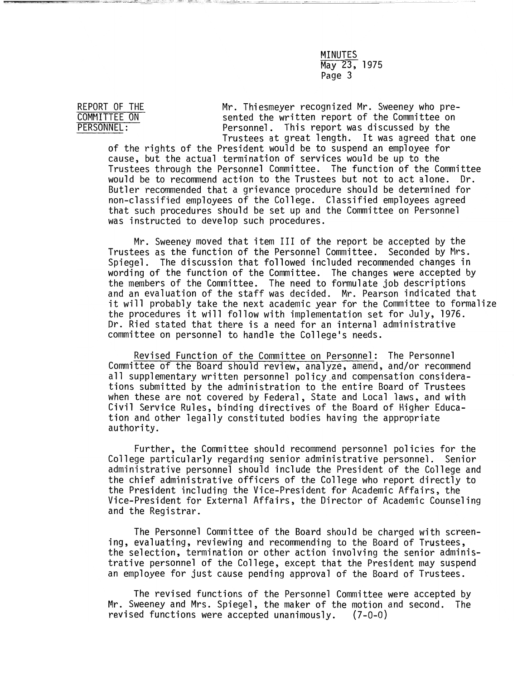MINUTES May 23, 1975 Page 3

REPORT OF THE Mr. Thiesmeyer recognized Mr. Sweeney who pre-<br>
COMMITTEE ON Sented the written report of the Committee on COMMITTEE ON Sented the written report of the Committee on PERSONNEL:<br>
PERSONNEL: Personnel. This report was discussed by the Personnel. This report was discussed by the Trustees at great length. It was agreed that one

of the rights of the President would be to suspend an employee for cause, but the actual termination of services would be up to the Trustees through the Personnel Committee. The function of the Committee would be to recommend action to the Trustees but not to act alone. Dr. Butler recommended that a grievance procedure should be determined for non-classified employees of the College. Classified employees agreed that such procedures should be set up and the Committee on Personnel was instructed to develop such procedures.

Mr. Sweeney moved that item III of the report be accepted by the Trustees as the function of the Personnel Committee. Seconded by Mrs. Spiegel. The discussion that followed included recommended changes in wording of the function of the Committee. The changes were accepted by the members of the Committee. The need to formulate job descriptions and an evaluation of the staff was decided. Mr. Pearson indicated that it will probably take the next academic year for the Committee to formalize the procedures it will follow with implementation set for July, 1976. Dr. Ried stated that there is a need for an internal administrative committee on personnel to handle the College's needs.

Revised Function of the Committee on Personnel: The Personnel Committee of the Board should review, analyze, amend, and/or recommend all supplementary written personnel po1icy.and compensation considerations submitted by the administration to the entire Board of Trustees when these are not covered by Federal, State and Local laws, and with Civil Service Rules, binding directives of the Board of Higher Education and other legally constituted bodies having the appropriate authority.

Further, the Committee should recommend personnel policies for the College particularly regarding senior administrative personnel. Senior administrative personnel should include the President of the College and the chief administrative officers of the College who report directly to the President including the Vice-President for Academic Affairs, the Vice-President for External Affairs, the Director of Academic Counseling and the Registrar.

The Personnel Committee of the Board should be charged with screening, evaluating, reviewing and recommending to the Board of Trustees, the selection, termination or other action involving the senior administrative personnel of the College, except that the President may suspend an employee for just cause pending approval of the Board of Trustees.

The revised functions of the Personnel Committee were accepted by Mr. Sweeney and Mrs. Spiegel, the maker of the motion and second. The revised functions were accepted unanimously. (7-0-0)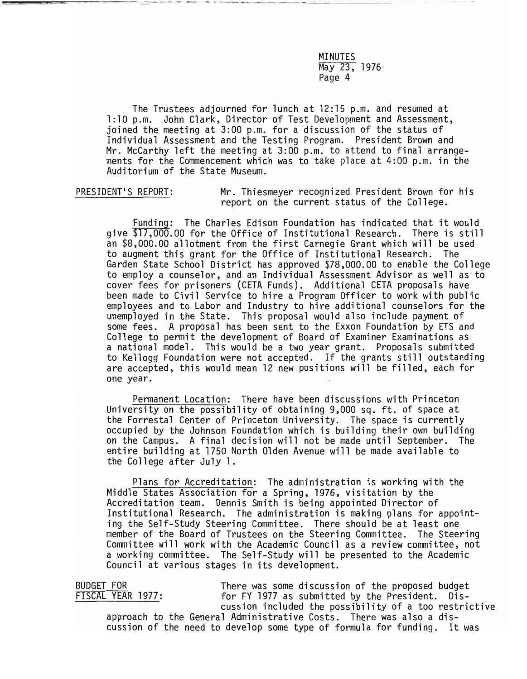MINUTES May 23, 1976 Page 4

The Trustees adjourned for lunch at 12:15 p.m. and resumed at 1 :10 p.m. John Clark, Director of Test Development and Assessment, joined the meeting at 3:00 p.m. for a discussion of the status of Individual Assessment and the Testing Program. President Brown and Mr. McCarthy left the meeting at 3:00 p.m. to attend to final arrangements for the Commencement which was to take place at 4:00 p.m. in the Auditorium of the State Museum.

PRESIDENT'S REPORT: Mr. Thiesmeyer recognized President Brown for his report on the current status of the College.

Funding: The Charles Edison Foundation has indicated that it would give \$17,000.00 for the Office of Institutional Research. There is still an \$8,000.00 allotment from the first Carnegie Grant which will be used to augment this grant for the Office of Institutional Research. The Garden State School District has approved \$78,000.00 to enable the College to employ a counselor, and an Individual Assessment Advisor as well as to cover fees for prisoners (CETA Funds). Additional CETA proposals have employees and to Labor and Industry to hire additional counselors for the unemployed in the State. This proposal would also include payment of some fees. A proposal has been sent to the Exxon Foundation by ETS and College to permit the development of Board of Examiner Examinations as a national model. This would be a two year grant. Proposals submitted to Kellogg Foundation were not accepted. If the grants still outstanding are accepted, this would mean 12 new positions will be filled, each for one year.

Permanent Location: There have been discussions with Princeton University on the possibility of obtaining 9,000 sq. ft. of space at the Forrestal Center of Princeton University. The space is currently occupied by the Johnson Foundation which is building their own building on the Campus. A final decision will not be made until September. The entire building at 1750 North Olden Avenue will be made available to the College after July 1.

Plans for Accreditation: The administration is working with the Middle States Association for a Spring, 1976, visitation by the Accreditation team. Dennis Smith is being appointed Director of Institutional Research. The administration is making plans for appointing the Self-Study Steering Committee. There should be at least one member of the Board of Trustees on the Steering Committee. The Steering Committee will work with the Academic Council as a review committee, not a working committee. The Self-Study will be presented to the Academic Council at various stages in its development.

BUDGET FOR There was some discussion of the proposed budget<br>FISCAL YEAR 1977: for FY 1977 as submitted by the President. Disfor FY 1977 as submitted by the President. Discussion included the possibility of a too restrictive approach to the General Administrative Costs. There was also a discussion of the need to develop some type of formula for funding. It was